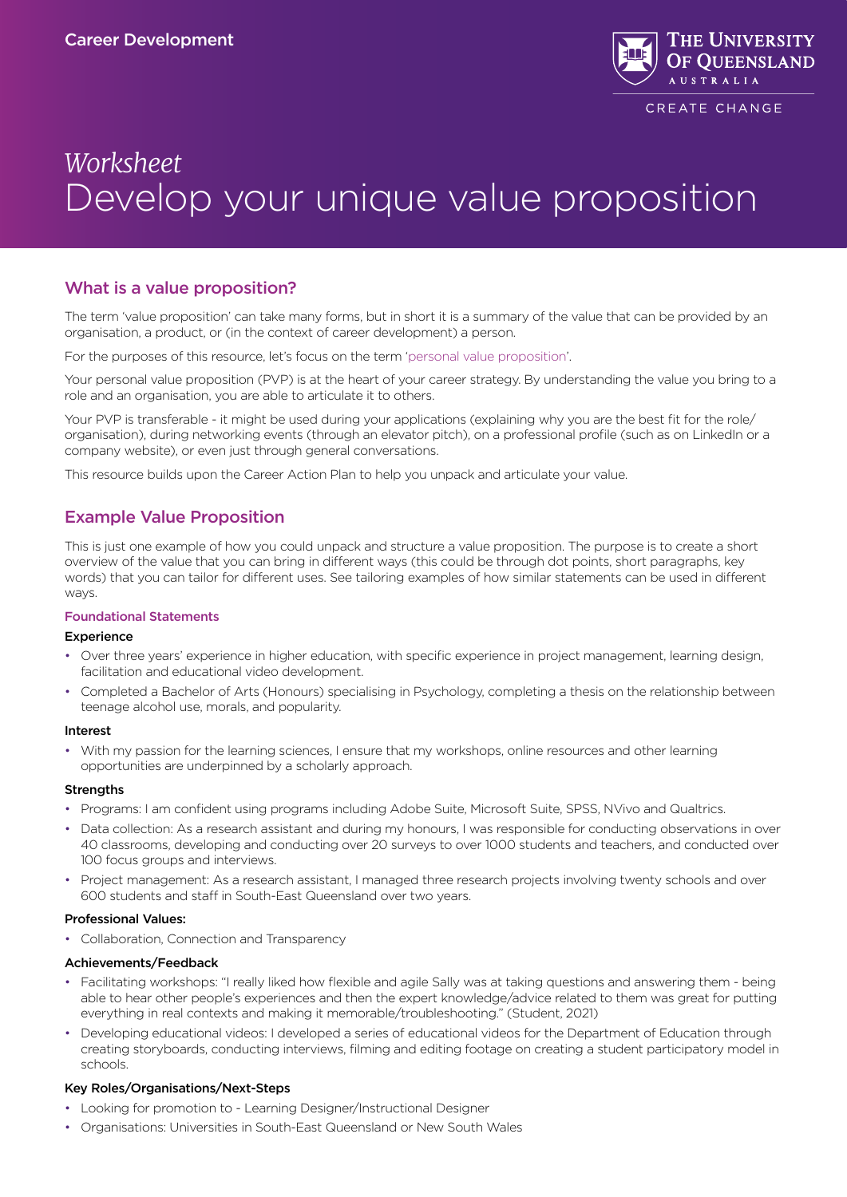

CREATE CHANGE

# *Worksheet* Develop your unique value proposition

## What is a value proposition?

The term 'value proposition' can take many forms, but in short it is a summary of the value that can be provided by an organisation, a product, or (in the context of career development) a person.

For the purposes of this resource, let's focus on the term 'personal value proposition'.

Your personal value proposition (PVP) is at the heart of your career strategy. By understanding the value you bring to a role and an organisation, you are able to articulate it to others.

Your PVP is transferable - it might be used during your applications (explaining why you are the best fit for the role/ organisation), during networking events (through an elevator pitch), on a professional profile (such as on LinkedIn or a company website), or even just through general conversations.

This resource builds upon the Career Action Plan to help you unpack and articulate your value.

## Example Value Proposition

This is just one example of how you could unpack and structure a value proposition. The purpose is to create a short overview of the value that you can bring in different ways (this could be through dot points, short paragraphs, key words) that you can tailor for different uses. See tailoring examples of how similar statements can be used in different ways.

#### Foundational Statements

#### **Experience**

- Over three years' experience in higher education, with specific experience in project management, learning design, facilitation and educational video development.
- Completed a Bachelor of Arts (Honours) specialising in Psychology, completing a thesis on the relationship between teenage alcohol use, morals, and popularity.

#### Interest

• With my passion for the learning sciences, I ensure that my workshops, online resources and other learning opportunities are underpinned by a scholarly approach.

#### **Strengths**

- Programs: I am confident using programs including Adobe Suite, Microsoft Suite, SPSS, NVivo and Qualtrics.
- Data collection: As a research assistant and during my honours, I was responsible for conducting observations in over 40 classrooms, developing and conducting over 20 surveys to over 1000 students and teachers, and conducted over 100 focus groups and interviews.
- Project management: As a research assistant, I managed three research projects involving twenty schools and over 600 students and staff in South-East Queensland over two years.

#### Professional Values:

• Collaboration, Connection and Transparency

#### Achievements/Feedback

- Facilitating workshops: "I really liked how flexible and agile Sally was at taking questions and answering them being able to hear other people's experiences and then the expert knowledge/advice related to them was great for putting everything in real contexts and making it memorable/troubleshooting." (Student, 2021)
- Developing educational videos: I developed a series of educational videos for the Department of Education through creating storyboards, conducting interviews, filming and editing footage on creating a student participatory model in schools.

#### Key Roles/Organisations/Next-Steps

- Looking for promotion to Learning Designer/Instructional Designer
- Organisations: Universities in South-East Queensland or New South Wales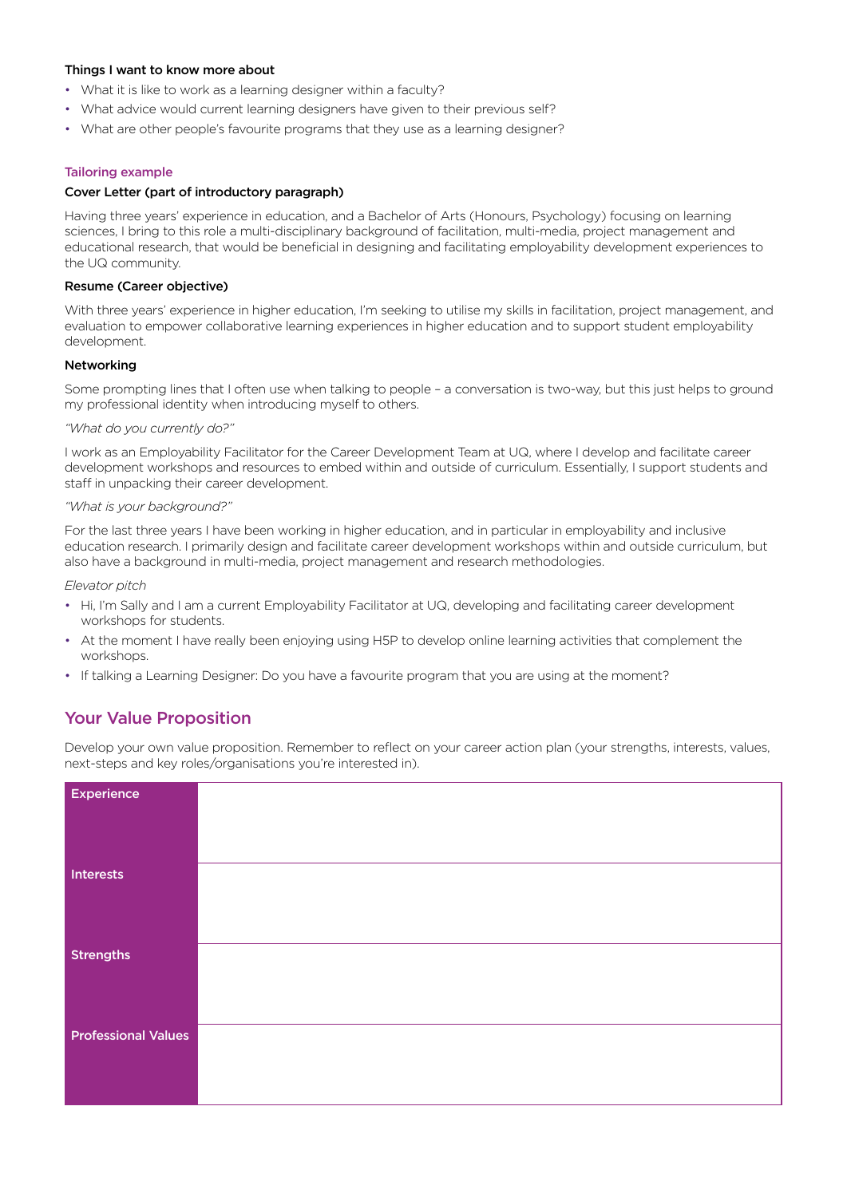#### Things I want to know more about

- What it is like to work as a learning designer within a faculty?
- What advice would current learning designers have given to their previous self?
- What are other people's favourite programs that they use as a learning designer?

#### Tailoring example

#### Cover Letter (part of introductory paragraph)

Having three years' experience in education, and a Bachelor of Arts (Honours, Psychology) focusing on learning sciences, I bring to this role a multi-disciplinary background of facilitation, multi-media, project management and educational research, that would be beneficial in designing and facilitating employability development experiences to the UQ community.

#### Resume (Career objective)

With three years' experience in higher education, I'm seeking to utilise my skills in facilitation, project management, and evaluation to empower collaborative learning experiences in higher education and to support student employability development.

#### Networking

Some prompting lines that I often use when talking to people – a conversation is two-way, but this just helps to ground my professional identity when introducing myself to others.

#### *"What do you currently do?"*

I work as an Employability Facilitator for the Career Development Team at UQ, where I develop and facilitate career development workshops and resources to embed within and outside of curriculum. Essentially, I support students and staff in unpacking their career development.

#### *"What is your background?"*

For the last three years I have been working in higher education, and in particular in employability and inclusive education research. I primarily design and facilitate career development workshops within and outside curriculum, but also have a background in multi-media, project management and research methodologies.

*Elevator pitch*

- Hi, I'm Sally and I am a current Employability Facilitator at UQ, developing and facilitating career development workshops for students.
- At the moment I have really been enjoying using H5P to develop online learning activities that complement the workshops.
- If talking a Learning Designer: Do you have a favourite program that you are using at the moment?

### Your Value Proposition

Develop your own value proposition. Remember to reflect on your career action plan (your strengths, interests, values, next-steps and key roles/organisations you're interested in).

| <b>Experience</b>          |  |
|----------------------------|--|
|                            |  |
|                            |  |
|                            |  |
| Interests                  |  |
|                            |  |
|                            |  |
|                            |  |
| <b>Strengths</b>           |  |
|                            |  |
|                            |  |
|                            |  |
| <b>Professional Values</b> |  |
|                            |  |
|                            |  |
|                            |  |